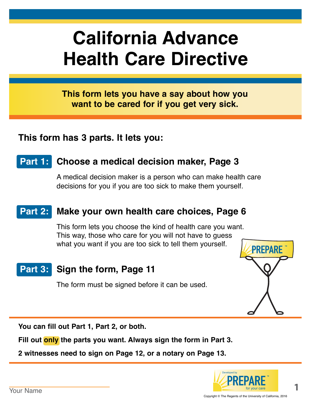## **California Advance Health Care Directive**

**This form lets you have a say about how you want to be cared for if you get very sick.**

**This form has 3 parts. It lets you:** 

## **Part 1: Choose a medical decision maker, Page 3**

A medical decision maker is a person who can make health care decisions for you if you are too sick to make them yourself.

## **Part 2: Make your own health care choices, Page 6**

This form lets you choose the kind of health care you want. This way, those who care for you will not have to guess what you want if you are too sick to tell them yourself.

## **Part 3: Sign the form, Page 11**

The form must be signed before it can be used.



**1**

**You can fill out Part 1, Part 2, or both.** 

Fill out only the parts you want. Always sign the form in Part 3.

**2 witnesses need to sign on Page 12, or a notary on Page 13.**



Copyright © The Regents of the University of California, 2016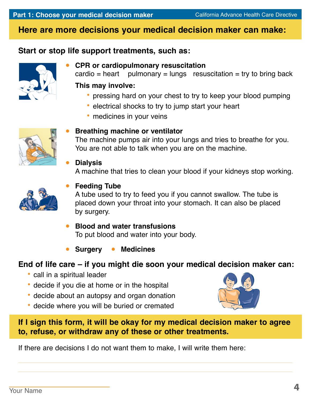## **Here are more decisions your medical decision maker can make:**

## **Start or stop life support treatments, such as:**



**CPR or cardiopulmonary resuscitation**

 $cardio = heart$  pulmonary = lungs resuscitation = try to bring back

#### **This may involve:**

- **•** pressing hard on your chest to try to keep your blood pumping
- **•** electrical shocks to try to jump start your heart
- **•** medicines in your veins



## **Breathing machine or ventilator**

The machine pumps air into your lungs and tries to breathe for you. You are not able to talk when you are on the machine.

#### **Dialysis**

A machine that tries to clean your blood if your kidneys stop working.



#### **Feeding Tube**

A tube used to try to feed you if you cannot swallow. The tube is placed down your throat into your stomach. It can also be placed by surgery.

**Blood and water transfusions** To put blood and water into your body.

**Surgery • Medicines** 

### **End of life care – if you might die soon your medical decision maker can:**

- **•** call in a spiritual leader
- **•** decide if you die at home or in the hospital
- **•** decide about an autopsy and organ donation
- **•** decide where you will be buried or cremated



## **If I sign this form, it will be okay for my medical decision maker to agree to, refuse, or withdraw any of these or other treatments.**

If there are decisions I do not want them to make, I will write them here: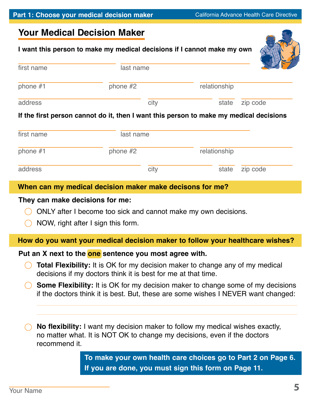## **Your Medical Decision Maker**

first name

address

#### **I want this person to make my medical decisions if I cannot make my own**

last name

| 111911101110 |                                                                                        | 1001 HUHT |              |          |  |  |
|--------------|----------------------------------------------------------------------------------------|-----------|--------------|----------|--|--|
| phone $#1$   | phone $#2$                                                                             |           |              |          |  |  |
| address      |                                                                                        | city      | state        | zip code |  |  |
|              | If the first person cannot do it, then I want this person to make my medical decisions |           |              |          |  |  |
| first name   | last name                                                                              |           |              |          |  |  |
| phone #1     | phone $#2$                                                                             |           | relationship |          |  |  |

city

#### **When can my medical decision maker make decisons for me?**

#### **They can make decisions for me:**

- ONLY after I become too sick and cannot make my own decisions.
- NOW, right after I sign this form.

#### **How do you want your medical decision maker to follow your healthcare wishes?**

#### Put an X next to the **one** sentence you most agree with.

- **Total Flexibility:** It is OK for my decision maker to change any of my medical decisions if my doctors think it is best for me at that time.
- **Some Flexibility:** It is OK for my decision maker to change some of my decisions if the doctors think it is best. But, these are some wishes I NEVER want changed:

**No flexibility:** I want my decision maker to follow my medical wishes exactly, no matter what. It is NOT OK to change my decisions, even if the doctors recommend it.

> **To make your own health care choices go to Part 2 on Page 6. If you are done, you must sign this form on Page 11.**

state

zip code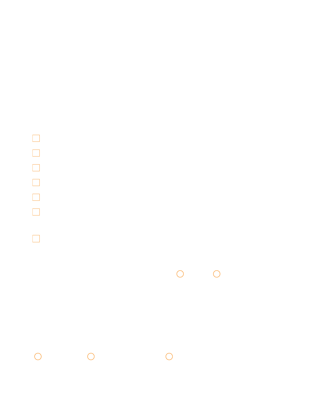## $\Box$  $\Box$

 $\begin{matrix} 0 & 0 \\ 0 & 0 \end{matrix}$ 

 $\bigcirc$ 

 $\begin{array}{c} \circ \\ \circ \circ \end{array}$ 

 $\bigcirc$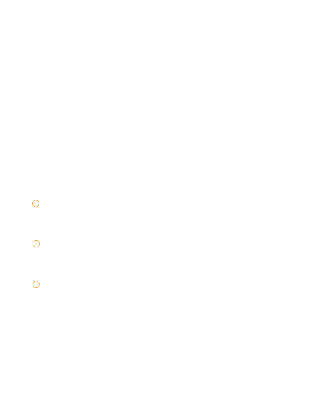$\overline{O}$  $\bigcirc$ 

 $\bigcirc$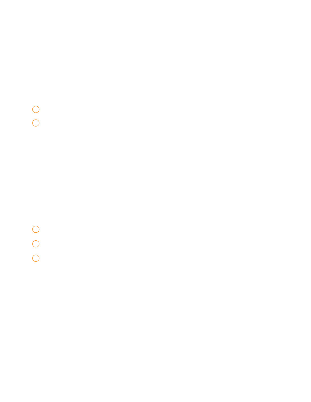# **California Advance Health Care Directive**

This form lets you have a say about how you want to be cared for if you get very sick.

This form has 3 parts. It lets you:

#### **Part 1:** Choose a medical decision maker, Page 3

A medical decision maker is a person who can make health care decisions for you if you are too sick to make them yourself.

#### Make your own health care choices, Page 6 **Part 2:**



#### Part 3: Sign the form, Page 11

The form must be signed before it can be used.



You can fill out Part 1, Part 2, or both.

Fill out only the parts you want. Always sign the form in Part 3.

2 witnesses need to sign on Page 12, or a notary on Page 13.



Copyright © The Regents of the University of California, 2016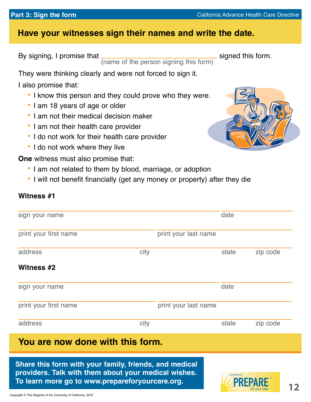## **Part 3: Sign the form**

## **Have your witnesses sign their names and write the date.**

By signing, I promise that **signed the signed this form.** 

(name of the person signing this form)

They were thinking clearly and were not forced to sign it.

I also promise that:

- **•** I know this person and they could prove who they were.
- **•** I am 18 years of age or older
- **•** I am not their medical decision maker
- **•** I am not their health care provider
- **•** I do not work for their health care provider
- **•** I do not work where they live

**One** witness must also promise that:

- **•** I am not related to them by blood, marriage, or adoption
- **•** I will not benefit financially (get any money or property) after they die

#### **Witness #1**

| sign your name                                                                                          |      |                      | date                           |          |  |
|---------------------------------------------------------------------------------------------------------|------|----------------------|--------------------------------|----------|--|
| print your first name                                                                                   |      | print your last name |                                |          |  |
| address                                                                                                 | city |                      | state                          | zip code |  |
| Witness #2                                                                                              |      |                      |                                |          |  |
| sign your name                                                                                          |      |                      | date                           |          |  |
| print your first name                                                                                   |      | print your last name |                                |          |  |
| address                                                                                                 | city |                      | state                          | zip code |  |
| You are now done with this form.                                                                        |      |                      |                                |          |  |
| Share this form with your family, friends, and medical                                                  |      |                      |                                |          |  |
| providers. Talk with them about your medical wishes.<br>To learn more go to www.prepareforyourcare.org. |      |                      | Developed by<br><b>PRFPARF</b> |          |  |



**12**

for your care